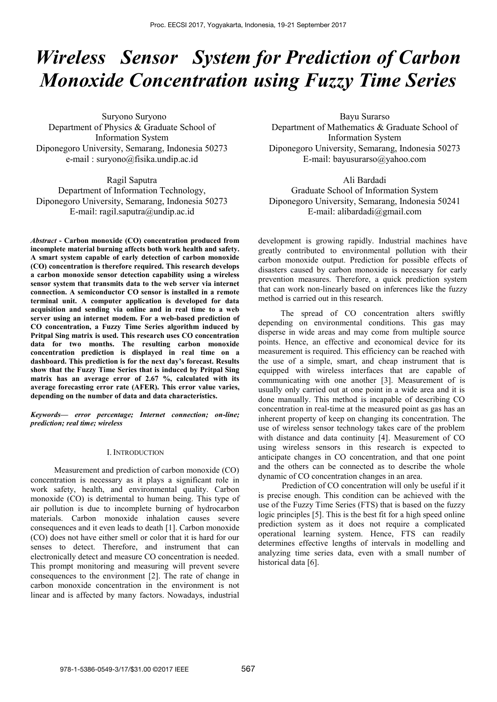# *Wireless Sensor System for [Prediction of Carbon](http://www.ncbi.nlm.nih.gov/pubmed/15373358)  [Monoxide Concentration u](http://www.ncbi.nlm.nih.gov/pubmed/15373358)sing Fuzzy Time Series*

Suryono Suryono Department of Physics & Graduate School of Information System Diponegoro University, Semarang, Indonesia 50273 e-mail : [suryono@fisika.undip.ac.id](mailto:suryono@fisika.undip.ac.id)

Ragil Saputra Department of Information Technology, Diponegoro University, Semarang, Indonesia 50273 E-mail: [ragil.saputra@undip.ac.id](mailto:ragil.saputra@undip.ac.id)

*Abstract* **- Carbon monoxide (CO) concentration produced from incomplete material burning affects both work health and safety. A smart system capable of early detection of carbon monoxide (CO) concentration is therefore required. This research develops a carbon monoxide sensor detection capability using a wireless sensor system that transmits data to the web server via internet connection. A semiconductor CO sensor is installed in a remote terminal unit. A computer application is developed for data acquisition and sending via online and in real time to a web server using an internet modem. For a web-based prediction of CO concentration, a Fuzzy Time Series algorithm induced by Pritpal Sing matrix is used. This research uses CO concentration data for two months. The resulting carbon monoxide concentration prediction is displayed in real time on a dashboard. This prediction is for the next day's forecast. Results show that the Fuzzy Time Series that is induced by Pritpal Sing matrix has an average error of 2.67 %, calculated with its average forecasting error rate (AFER). This error value varies, depending on the number of data and data characteristics.**

*Keywords— error percentage; Internet connection; on-line; prediction; real time; wireless*

## I. INTRODUCTION

Measurement and prediction of carbon monoxide (CO) concentration is necessary as it plays a significant role in work safety, health, and environmental quality. Carbon monoxide (CO) is detrimental to human being. This type of air pollution is due to incomplete burning of hydrocarbon materials. Carbon monoxide inhalation causes severe consequences and it even leads to death [1]. Carbon monoxide (CO) does not have either smell or color that it is hard for our senses to detect. Therefore, and instrument that can electronically detect and measure CO concentration is needed. This prompt monitoring and measuring will prevent severe consequences to the environment [2]. The rate of change in carbon monoxide concentration in the environment is not linear and is affected by many factors. Nowadays, industrial

Bayu Surarso Department of Mathematics & Graduate School of Information System Diponegoro University, Semarang, Indonesia 50273 E-mail: [bayusurarso@yahoo.com](mailto:bayusurarso@yahoo.com)

Ali Bardadi Graduate School of Information System Diponegoro University, Semarang, Indonesia 50241 E-mail: alibardadi@gmail.com

development is growing rapidly. Industrial machines have greatly contributed to environmental pollution with their carbon monoxide output. Prediction for possible effects of disasters caused by carbon monoxide is necessary for early prevention measures. Therefore, a quick prediction system that can work non-linearly based on inferences like the fuzzy method is carried out in this research.

The spread of CO concentration alters swiftly depending on environmental conditions. This gas may disperse in wide areas and may come from multiple source points. Hence, an effective and economical device for its measurement is required. This efficiency can be reached with the use of a simple, smart, and cheap instrument that is equipped with wireless interfaces that are capable of communicating with one another [3]. Measurement of is usually only carried out at one point in a wide area and it is done manually. This method is incapable of describing CO concentration in real-time at the measured point as gas has an inherent property of keep on changing its concentration. The use of wireless sensor technology takes care of the problem with distance and data continuity [4]. Measurement of CO using wireless sensors in this research is expected to anticipate changes in CO concentration, and that one point and the others can be connected as to describe the whole dynamic of CO concentration changes in an area.

Prediction of CO concentration will only be useful if it is precise enough. This condition can be achieved with the use of the Fuzzy Time Series (FTS) that is based on the fuzzy logic principles [5]. This is the best fit for a high speed online prediction system as it does not require a complicated operational learning system. Hence, FTS can readily determines effective lengths of intervals in modelling and analyzing time series data, even with a small number of historical data [6].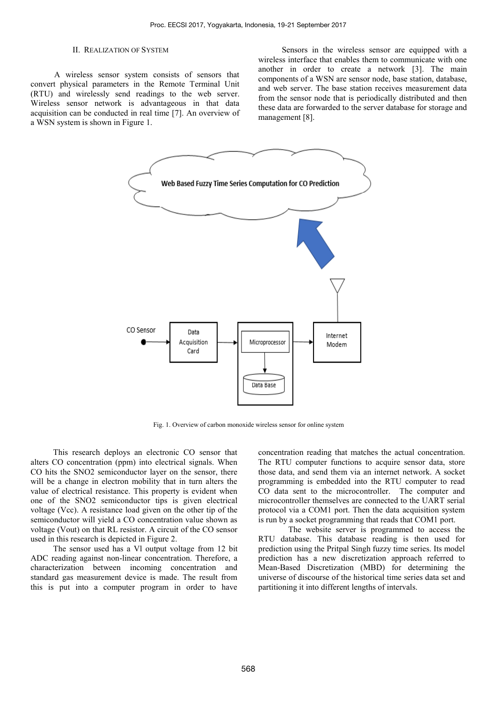### II. REALIZATION OF SYSTEM

A wireless sensor system consists of sensors that convert physical parameters in the Remote Terminal Unit (RTU) and wirelessly send readings to the web server. Wireless sensor network is advantageous in that data acquisition can be conducted in real time [7]. An overview of a WSN system is shown in Figure 1.

Sensors in the wireless sensor are equipped with a wireless interface that enables them to communicate with one another in order to create a network [3]. The main components of a WSN are sensor node, base station, database, and web server. The base station receives measurement data from the sensor node that is periodically distributed and then these data are forwarded to the server database for storage and management [8].



Fig. 1. Overview of carbon monoxide wireless sensor for online system

This research deploys an electronic CO sensor that alters CO concentration (ppm) into electrical signals. When CO hits the SNO2 semiconductor layer on the sensor, there will be a change in electron mobility that in turn alters the value of electrical resistance. This property is evident when one of the SNO2 semiconductor tips is given electrical voltage (Vcc). A resistance load given on the other tip of the semiconductor will yield a CO concentration value shown as voltage (Vout) on that RL resistor. A circuit of the CO sensor used in this research is depicted in Figure 2.

The sensor used has a Vl output voltage from 12 bit ADC reading against non-linear concentration. Therefore, a characterization between incoming concentration and standard gas measurement device is made. The result from this is put into a computer program in order to have

concentration reading that matches the actual concentration. The RTU computer functions to acquire sensor data, store those data, and send them via an internet network. A socket programming is embedded into the RTU computer to read CO data sent to the microcontroller. The computer and microcontroller themselves are connected to the UART serial protocol via a COM1 port. Then the data acquisition system is run by a socket programming that reads that COM1 port.

The website server is programmed to access the RTU database. This database reading is then used for prediction using the Pritpal Singh fuzzy time series. Its model prediction has a new discretization approach referred to Mean-Based Discretization (MBD) for determining the universe of discourse of the historical time series data set and partitioning it into different lengths of intervals.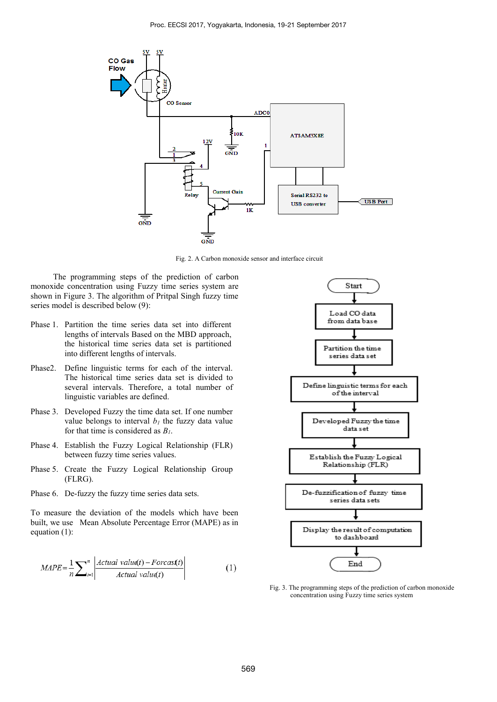

Fig. 2. A Carbon monoxide sensor and interface circuit

The programming steps of the [prediction of carbon](http://www.ncbi.nlm.nih.gov/pubmed/15373358)  [monoxide concentration u](http://www.ncbi.nlm.nih.gov/pubmed/15373358)sing Fuzzy time series system are shown in Figure 3. The algorithm of Pritpal Singh fuzzy time series model is described below (9):

- Phase 1. Partition the time series data set into different lengths of intervals Based on the MBD approach, the historical time series data set is partitioned into different lengths of intervals.
- Phase2. Define linguistic terms for each of the interval. The historical time series data set is divided to several intervals. Therefore, a total number of linguistic variables are defined.
- Phase 3. Developed Fuzzy the time data set. If one number value belongs to interval  $b<sub>l</sub>$  the fuzzy data value for that time is considered as *B1*.
- Phase 4. Establish the Fuzzy Logical Relationship (FLR) between fuzzy time series values.
- Phase 5. Create the Fuzzy Logical Relationship Group (FLRG).
- Phase 6. De-fuzzy the fuzzy time series data sets.

To measure the deviation of the models which have been built, we use Mean Absolute Percentage Error (MAPE) as in equation (1):

$$
MAPE = \frac{1}{n} \sum_{t=1}^{n} \left| \frac{Actual \ value(t) - Forcast(t)}{Actual \ value(t)} \right| \tag{1}
$$



Fig. 3. The programming steps of th[e prediction of carbon monoxide](http://www.ncbi.nlm.nih.gov/pubmed/15373358)  [concentration u](http://www.ncbi.nlm.nih.gov/pubmed/15373358)sing Fuzzy time series system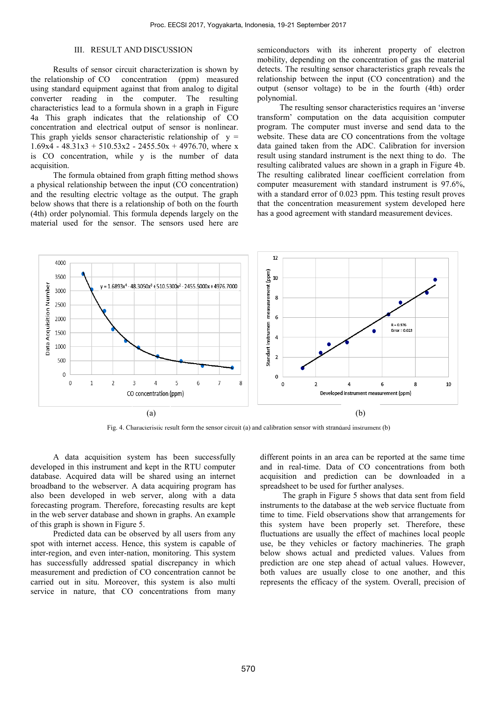# III. RESULT AND DISCUSSION

Results of sensor circuit characterization is shown by the relationship of CO concentration (ppm) measured using standard equipment against that from analog to digital converter reading in the computer. The resulting characteristics lead to a formula shown in a graph in Figure 4a This graph indicates that the relationship of CO concentration and electrical output of sensor is nonlinear. This graph yields sensor characteristic relationship of  $y =$  $1.69x4 - 48.31x3 + 510.53x2 - 2455.50x + 4976.70$ , where x is CO concentration, while y is the number of data acquisition.

The formula obtained from graph fitting method shows a physical relationship between the input (CO concentration) and the resulting electric voltage as the output. The graph below shows that there is a relationship of both on the fourth (4th) order polynomial. This formula depends largely on the material used for the sensor. The sensors used here are

semiconductors with its inherent property of electron mobility, depending on the concentration of gas the material detects. The resulting sensor characteristics graph reveals the relationship between the input (CO concentration) and the output (sensor voltage) to be in the fourth (4th) order polynomial.

The resulting sensor characteristics requires an 'inverse transform' computation on the data acquisition computer program. The computer must inverse and send data to the website. These data are CO concentrations from the voltage data gained taken from the ADC. Calibration for inversion result using standard instrument is the next thing to do. The resulting calibrated values are shown in a graph in Figure 4b. The resulting calibrated linear coefficient correlation from computer measurement with standard instrument is 97.6%, with a standard error of 0.023 ppm. This testing result proves that the concentration measurement system developed here has a good agreement with standard measurement devices.



Fig. 4. Characteristic result form the sensor circuit (a) and calibration sensor with strandard instrument (b)

A data acquisition system has been successfully developed in this instrument and kept in the RTU computer database. Acquired data will be shared using an internet broadband to the webserver. A data acquiring program has also been developed in web server, along with a data forecasting program. Therefore, forecasting results are kept in the web server database and shown in graphs. An example of this graph is shown in Figure 5.

Predicted data can be observed by all users from any spot with internet access. Hence, this system is capable of inter-region, and even inter-nation, monitoring. This system has successfully addressed spatial discrepancy in which measurement and prediction of CO concentration cannot be carried out in situ. Moreover, this system is also multi service in nature, that CO concentrations from many different points in an area can be reported at the same time and in real-time. Data of CO concentrations from both acquisition and prediction can be downloaded in a spreadsheet to be used for further analyses.

The graph in Figure 5 shows that data sent from field instruments to the database at the web service fluctuate from time to time. Field observations show that arrangements for this system have been properly set. Therefore, these fluctuations are usually the effect of machines local people use, be they vehicles or factory machineries. The graph below shows actual and predicted values. Values from prediction are one step ahead of actual values. However, both values are usually close to one another, and this represents the efficacy of the system. Overall, precision of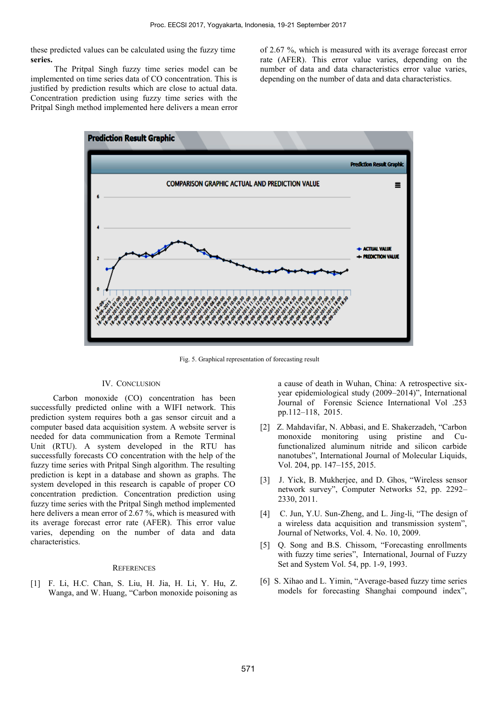these predicted values can be calculated using the fuzzy time **series.** 

The Pritpal Singh fuzzy time series model can be implemented on time series data of CO concentration. This is justified by prediction results which are close to actual data. Concentration prediction using fuzzy time series with the Pritpal Singh method implemented here delivers a mean error of 2.67 %, which is measured with its average forecast error rate (AFER). This error value varies, depending on the number of data and data characteristics error value varies, depending on the number of data and data characteristics.



Fig. 5. Graphical representation of forecasting result

## IV. CONCLUSION

Carbon monoxide (CO) concentration has been successfully predicted online with a WIFI network. This prediction system requires both a gas sensor circuit and a computer based data acquisition system. A website server is needed for data communication from a Remote Terminal Unit (RTU). A system developed in the RTU has successfully forecasts CO concentration with the help of the fuzzy time series with Pritpal Singh algorithm. The resulting prediction is kept in a database and shown as graphs. The system developed in this research is capable of proper CO concentration prediction. Concentration prediction using fuzzy time series with the Pritpal Singh method implemented here delivers a mean error of 2.67 %, which is measured with its average forecast error rate (AFER). This error value varies, depending on the number of data and data characteristics.

#### **REFERENCES**

[1] F. Li, H.C. Chan, S. Liu, H. Jia, H. Li, Y. Hu, Z. Wanga, and W. Huang, "Carbon monoxide poisoning as

a cause of death in Wuhan, China: A retrospective sixyear epidemiological study (2009–2014)", International Journal of Forensic Science International Vol .253 pp.112–118, 2015.

- [2] Z. Mahdavifar, N. Abbasi, and E. Shakerzadeh, "Carbon monoxide monitoring using pristine and Cufunctionalized aluminum nitride and silicon carbide nanotubes", International Journal of Molecular Liquids, Vol. 204, pp. 147–155, 2015.
- [3] J. Yick, B. Mukherjee, and D. Ghos, "Wireless sensor network survey", Computer Networks 52, pp. 2292– 2330, 2011.
- [4] C. Jun, Y.U. Sun-Zheng, and L. Jing-li, "The design of a wireless data acquisition and transmission system", Journal of Networks, Vol. 4. No. 10, 2009.
- [5] Q. Song and B.S. Chissom, "Forecasting enrollments with fuzzy time series", International, Journal of Fuzzy Set and System Vol. 54, pp. 1-9, 1993.
- [6] S. Xihao and L. Yimin, "Average-based fuzzy time series models for forecasting Shanghai compound index",